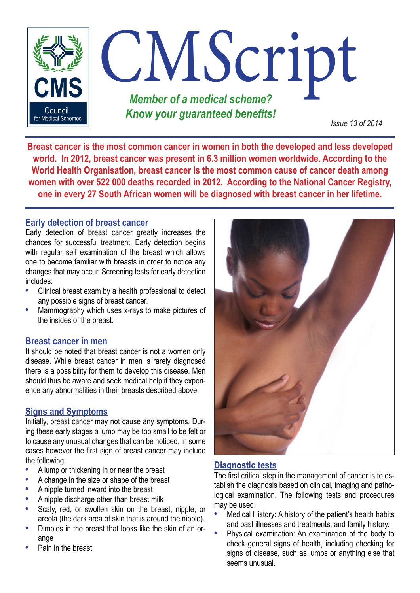

**Breast cancer is the most common cancer in women in both the developed and less developed world. In 2012, breast cancer was present in 6.3 million women worldwide. According to the World Health Organisation, breast cancer is the most common cause of cancer death among women with over 522 000 deaths recorded in 2012. According to the National Cancer Registry, one in every 27 South African women will be diagnosed with breast cancer in her lifetime.**

## **Early detection of breast cancer**

Early detection of breast cancer greatly increases the chances for successful treatment. Early detection begins with regular self examination of the breast which allows one to become familiar with breasts in order to notice any changes that may occur. Screening tests for early detection includes:

- **•** Clinical breast exam by a health professional to detect any possible signs of breast cancer.
- **•** Mammography which uses x-rays to make pictures of the insides of the breast.

#### **Breast cancer in men**

It should be noted that breast cancer is not a women only disease. While breast cancer in men is rarely diagnosed there is a possibility for them to develop this disease. Men should thus be aware and seek medical help if they experience any abnormalities in their breasts described above.

#### **Signs and Symptoms**

Initially, breast cancer may not cause any symptoms. During these early stages a lump may be too small to be felt or to cause any unusual changes that can be noticed. In some cases however the first sign of breast cancer may include the following:

- **•** A lump or thickening in or near the breast
- **•** A change in the size or shape of the breast
- **•** A nipple turned inward into the breast
- **•** A nipple discharge other than breast milk
- **•** Scaly, red, or swollen skin on the breast, nipple, or areola (the dark area of skin that is around the nipple).
- **•** Dimples in the breast that looks like the skin of an orange
- **•** Pain in the breast



#### **Diagnostic tests**

The first critical step in the management of cancer is to establish the diagnosis based on clinical, imaging and pathological examination. The following tests and procedures may be used:

- **•** Medical History: A history of the patient's health habits and past illnesses and treatments; and family history.
- **•** Physical examination: An examination of the body to check general signs of health, including checking for signs of disease, such as lumps or anything else that seems unusual.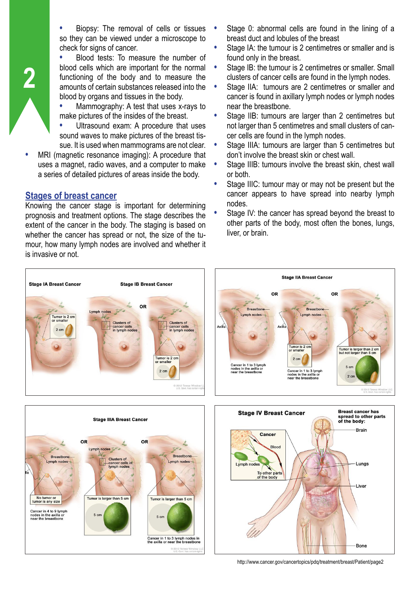**•** Biopsy: The removal of cells or tissues so they can be viewed under a microscope to check for signs of cancer.

**•** Blood tests: To measure the number of blood cells which are important for the normal functioning of the body and to measure the amounts of certain substances released into the blood by organs and tissues in the body.

**•** Mammography: A test that uses x-rays to make pictures of the insides of the breast.

**•** Ultrasound exam: A procedure that uses sound waves to make pictures of the breast tissue. It is used when mammograms are not clear.

**•** MRI (magnetic resonance imaging): A procedure that uses a magnet, radio waves, and a computer to make a series of detailed pictures of areas inside the body.

## **Stages of breast cancer**

**2**

Knowing the cancer stage is important for determining prognosis and treatment options. The stage describes the extent of the cancer in the body. The staging is based on whether the cancer has spread or not, the size of the tumour, how many lymph nodes are involved and whether it is invasive or not.

- **•** Stage 0: abnormal cells are found in the lining of a breast duct and lobules of the breast
- **•** Stage IA: the tumour is 2 centimetres or smaller and is found only in the breast.
- **•** Stage IB: the tumour is 2 centimetres or smaller. Small clusters of cancer cells are found in the lymph nodes.
- **•** Stage IIA: tumours are 2 centimetres or smaller and cancer is found in axillary lymph nodes or lymph nodes near the breastbone.
- **•** Stage IIB: tumours are larger than 2 centimetres but not larger than 5 centimetres and small clusters of cancer cells are found in the lymph nodes.
- **•** Stage IIIA: tumours are larger than 5 centimetres but don't involve the breast skin or chest wall.
- **•** Stage IIIB: tumours involve the breast skin, chest wall or both.
- **•** Stage IIIC: tumour may or may not be present but the cancer appears to have spread into nearby lymph nodes.
- **•** Stage IV: the cancer has spread beyond the breast to other parts of the body, most often the bones, lungs, liver, or brain.







Liver

http://www.cancer.gov/cancertopics/pdq/treatment/breast/Patient/page2

To other parts of the body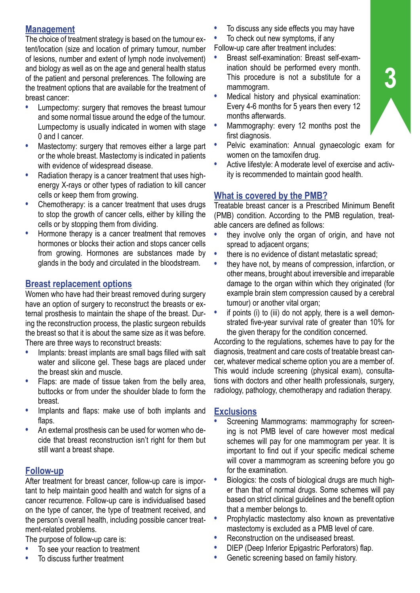## **Management**

The choice of treatment strategy is based on the tumour extent/location (size and location of primary tumour, number of lesions, number and extent of lymph node involvement) and biology as well as on the age and general health status of the patient and personal preferences. The following are the treatment options that are available for the treatment of breast cancer:

- **•** Lumpectomy: surgery that removes the breast tumour and some normal tissue around the edge of the tumour. Lumpectomy is usually indicated in women with stage 0 and I cancer.
- **•** Mastectomy: surgery that removes either a large part or the whole breast. Mastectomy is indicated in patients with evidence of widespread disease.
- **•** Radiation therapy is a cancer treatment that uses highenergy X-rays or other types of radiation to kill cancer cells or keep them from growing.
- **•** Chemotherapy: is a cancer treatment that uses drugs to stop the growth of cancer cells, either by killing the cells or by stopping them from dividing.
- **•** Hormone therapy is a cancer treatment that removes hormones or blocks their action and stops cancer cells from growing. Hormones are substances made by glands in the body and circulated in the bloodstream.

# **Breast replacement options**

Women who have had their breast removed during surgery have an option of surgery to reconstruct the breasts or external prosthesis to maintain the shape of the breast. During the reconstruction process, the plastic surgeon rebuilds the breast so that it is about the same size as it was before. There are three ways to reconstruct breasts:

- **•** Implants: breast implants are small bags filled with salt water and silicone gel. These bags are placed under the breast skin and muscle.
- **•** Flaps: are made of tissue taken from the belly area, buttocks or from under the shoulder blade to form the breast.
- **•** Implants and flaps: make use of both implants and flaps.
- **•** An external prosthesis can be used for women who decide that breast reconstruction isn't right for them but still want a breast shape.

# **Follow-up**

After treatment for breast cancer, follow-up care is important to help maintain good health and watch for signs of a cancer recurrence. Follow-up care is individualised based on the type of cancer, the type of treatment received, and the person's overall health, including possible cancer treatment-related problems.

The purpose of follow-up care is:

- **•** To see your reaction to treatment
- **•** To discuss further treatment
- **•** To discuss any side effects you may have
- **•** To check out new symptoms, if any
- Follow-up care after treatment includes:
- **•** Breast self-examination: Breast self-examination should be performed every month. This procedure is not a substitute for a mammogram.
- **•** Medical history and physical examination: Every 4-6 months for 5 years then every 12 months afterwards.
- **•** Mammography: every 12 months post the first diagnosis.
- **•** Pelvic examination: Annual gynaecologic exam for women on the tamoxifen drug.
- **•** Active lifestyle: A moderate level of exercise and activity is recommended to maintain good health.

# **What is covered by the PMB?**

Treatable breast cancer is a Prescribed Minimum Benefit (PMB) condition. According to the PMB regulation, treatable cancers are defined as follows:

- **•** they involve only the organ of origin, and have not spread to adiacent organs;
- there is no evidence of distant metastatic spread;
- **•** they have not, by means of compression, infarction, or other means, brought about irreversible and irreparable damage to the organ within which they originated (for example brain stem compression caused by a cerebral tumour) or another vital organ;
- **•** if points (i) to (iii) do not apply, there is a well demonstrated five-year survival rate of greater than 10% for the given therapy for the condition concerned.

According to the regulations, schemes have to pay for the diagnosis, treatment and care costs of treatable breast cancer, whatever medical scheme option you are a member of. This would include screening (physical exam), consultations with doctors and other health professionals, surgery, radiology, pathology, chemotherapy and radiation therapy.

## **Exclusions**

- **•** Screening Mammograms: mammography for screening is not PMB level of care however most medical schemes will pay for one mammogram per year. It is important to find out if your specific medical scheme will cover a mammogram as screening before you go for the examination.
- **•** Biologics: the costs of biological drugs are much higher than that of normal drugs. Some schemes will pay based on strict clinical guidelines and the benefit option that a member belongs to.
- **•** Prophylactic mastectomy also known as preventative mastectomy is excluded as a PMB level of care.
- **•** Reconstruction on the undiseased breast.
- **•** DIEP (Deep Inferior Epigastric Perforators) flap.
- **•** Genetic screening based on family history.